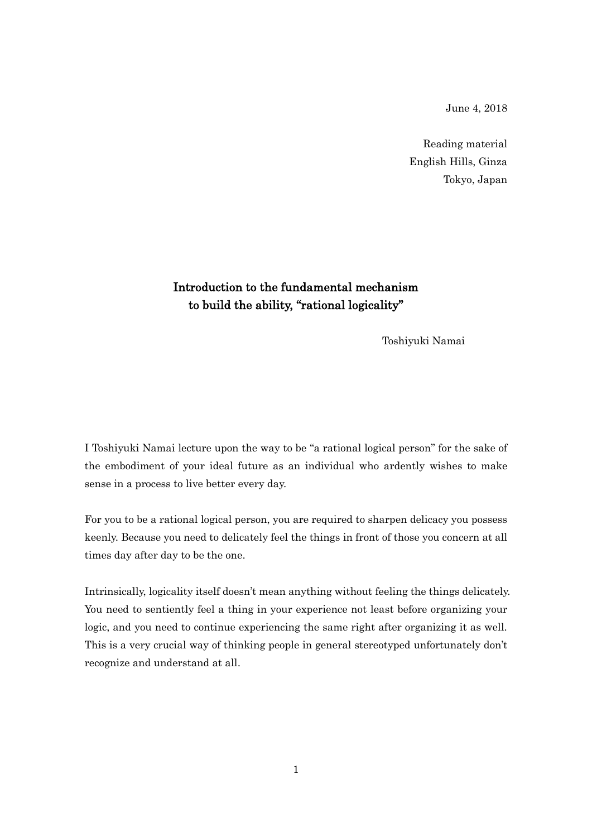June 4, 2018

Reading material English Hills, Ginza Tokyo, Japan

## Introduction to the fundamental mechanism to build the ability, "rational logicality"

Toshiyuki Namai

I Toshiyuki Namai lecture upon the way to be "a rational logical person" for the sake of the embodiment of your ideal future as an individual who ardently wishes to make sense in a process to live better every day.

For you to be a rational logical person, you are required to sharpen delicacy you possess keenly. Because you need to delicately feel the things in front of those you concern at all times day after day to be the one.

Intrinsically, logicality itself doesn't mean anything without feeling the things delicately. You need to sentiently feel a thing in your experience not least before organizing your logic, and you need to continue experiencing the same right after organizing it as well. This is a very crucial way of thinking people in general stereotyped unfortunately don't recognize and understand at all.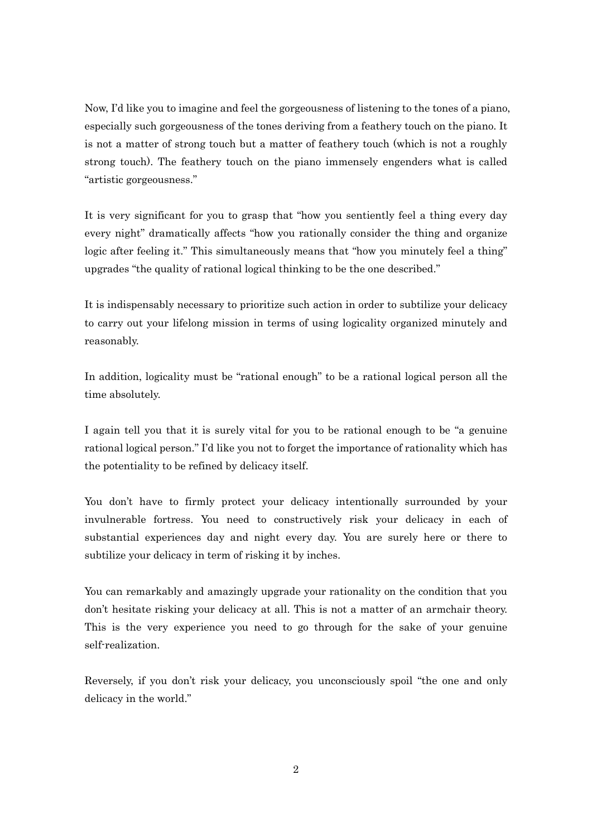Now, I'd like you to imagine and feel the gorgeousness of listening to the tones of a piano, especially such gorgeousness of the tones deriving from a feathery touch on the piano. It is not a matter of strong touch but a matter of feathery touch (which is not a roughly strong touch). The feathery touch on the piano immensely engenders what is called "artistic gorgeousness."

It is very significant for you to grasp that "how you sentiently feel a thing every day every night" dramatically affects "how you rationally consider the thing and organize logic after feeling it." This simultaneously means that "how you minutely feel a thing" upgrades "the quality of rational logical thinking to be the one described."

It is indispensably necessary to prioritize such action in order to subtilize your delicacy to carry out your lifelong mission in terms of using logicality organized minutely and reasonably.

In addition, logicality must be "rational enough" to be a rational logical person all the time absolutely.

I again tell you that it is surely vital for you to be rational enough to be "a genuine rational logical person." I'd like you not to forget the importance of rationality which has the potentiality to be refined by delicacy itself.

You don't have to firmly protect your delicacy intentionally surrounded by your invulnerable fortress. You need to constructively risk your delicacy in each of substantial experiences day and night every day. You are surely here or there to subtilize your delicacy in term of risking it by inches.

You can remarkably and amazingly upgrade your rationality on the condition that you don't hesitate risking your delicacy at all. This is not a matter of an armchair theory. This is the very experience you need to go through for the sake of your genuine self-realization.

Reversely, if you don't risk your delicacy, you unconsciously spoil "the one and only delicacy in the world."